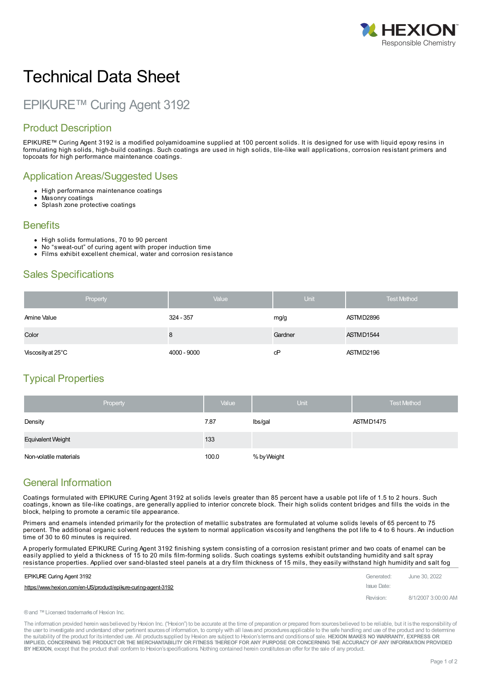

# Technical Data Sheet

## EPIKURE™ Curing Agent 3192

#### Product Description

EPIKURE™ Curing Agent 3192 is a modified polyamidoamine supplied at 100 percent solids. It is designed for use with liquid epoxy resins in formulating high solids, high-build coatings. Such coatings are used in high solids, tile-like wall applications, corrosion resistant primers and topcoats for high performance maintenance coatings.

#### Application Areas/Suggested Uses

- High performance maintenance coatings
- Masonry coatings
- Splash zone protective coatings

#### **Benefits**

- High solids formulations, 70 to 90 percent
- No "sweat-out" of curing agent with proper induction time
- Films exhibit excellent chemical, water and corrosion resistance

#### Sales Specifications

| Property          | Value       | Unit    | <b>Test Method</b> |
|-------------------|-------------|---------|--------------------|
| Amine Value       | 324 - 357   | mg/g    | ASTMD2896          |
| Color             | o           | Gardner | ASTMD1544          |
| Viscosity at 25°C | 4000 - 9000 | cP      | ASTMD2196          |

#### Typical Properties

|                          | Property | Value | <b>Unit</b> | <b>Test Method</b> |
|--------------------------|----------|-------|-------------|--------------------|
| Density                  |          | 7.87  | Ibs/gal     | ASTMD1475          |
| <b>Equivalent Weight</b> |          | 133   |             |                    |
| Non-volatile materials   |          | 100.0 | % by Weight |                    |

### General Information

Coatings formulated with EPIKURE Curing Agent 3192 at solids levels greater than 85 percent have a usable pot life of 1.5 to 2 hours. Such coatings, known as tile-like coatings, are generally applied to interior concrete block. Their high solids content bridges and fills the voids in the block, helping to promote a ceramic tile appearance.

Primers and enamels intended primarily for the protection of metallic substrates are formulated at volume solids levels of 65 percent to 75 percent. The additional organic solvent reduces the system to normal application viscosity and lengthens the pot life to 4 to 6 hours. An induction time of 30 to 60 minutes is required.

A properly formulated EPIKURE Curing Agent 3192 finishing system consisting of a corrosion resistant primer and two coats of enamel can be easily applied to yield a thickness of 15 to 20 mils film-forming solids. Such coatings systems exhibit outstanding humidity and salt spray resistance properties. Applied over [sand-blasted](https://www.hexion.com/en-US/product/epikure-curing-agent-3192) steel panels at a dry film thickness of 15 mils, they easily withstand high humidity and salt fog

| <b>EPIKURE Curing Agent 3192</b>                               | Generated:  | June 30, 2022       |
|----------------------------------------------------------------|-------------|---------------------|
| https://www.hexion.com/en-US/product/epikure-curing-agent-3192 | Issue Date: |                     |
|                                                                | Revision:   | 8/1/2007 3:00:00 AM |

®and ™Licensed trademarksof Hexion Inc.

The information provided herein was believed by Hexion Inc. ("Hexion") to be accurate at the time of preparation or prepared from sources believed to be reliable, but it is the responsibility of the user to investigate and understand other pertinent sources of information, to comply with all laws and procedures applicable to the safe handling and use of the product and to determine the suitability of the product for itsintended use. All productssupplied by Hexion are subject to Hexion'stermsand conditionsof sale. **HEXION MAKES NO WARRANTY, EXPRESS OR** IMPLIED, CONCERNING THE PRODUCT OR THE MERCHANTABILITY OR FITNESS THEREOF FOR ANY PURPOSE OR CONCERNING THE ACCURACY OF ANY INFORMATION PROVIDED **BY HEXION**, except that the product shall conform to Hexion'sspecifications. Nothing contained herein constitutesan offer for the sale of any product.